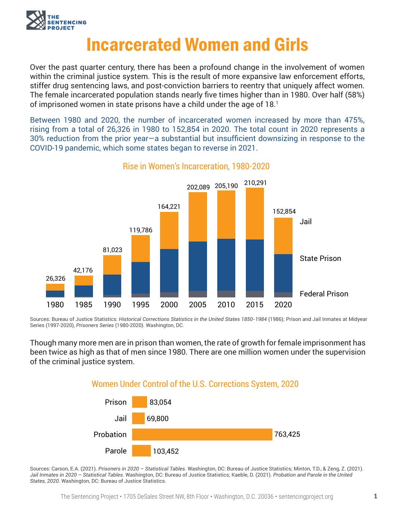

# Incarcerated Women and Girls

Over the past quarter century, there has been a profound change in the involvement of women within the criminal justice system. This is the result of more expansive law enforcement efforts, stiffer drug sentencing laws, and post-conviction barriers to reentry that uniquely affect women. The female incarcerated population stands nearly five times higher than in 1980. Over half (58%) of imprisoned women in state prisons have a child under the age of 18.1

Between 1980 and 2020, the number of incarcerated women increased by more than 475%, rising from a total of 26,326 in 1980 to 152,854 in 2020. The total count in 2020 represents a 30% reduction from the prior year—a substantial but insufficient downsizing in response to the COVID-19 pandemic, which some states began to reverse in 2021.



Rise in Women's Incarceration, 1980-2020

Sources: Bureau of Justice Statistics: *Historical Corrections Statistics in the United States 1850-1984* (1986); Prison and Jail Inmates at Midyear Series (1997-2020), *Prisoners Series* (1980-2020). Washington, DC.

Though many more men are in prison than women, the rate of growth for female imprisonment has been twice as high as that of men since 1980. There are one million women under the supervision of the criminal justice system.

### Women Under Control of the U.S. Corrections System, 2020



Sources: Carson, E.A. (2021). *Prisoners in 2020 – Statistical Tables.* Washington, DC: Bureau of Justice Statistics; Minton, T.D., & Zeng, Z. (2021). *Jail Inmates in 2020 – Statistical Tables*. Washington, DC: Bureau of Justice Statistics; Kaeble, D. (2021). *Probation and Parole in the United States, 2020*. Washington, DC: Bureau of Justice Statistics.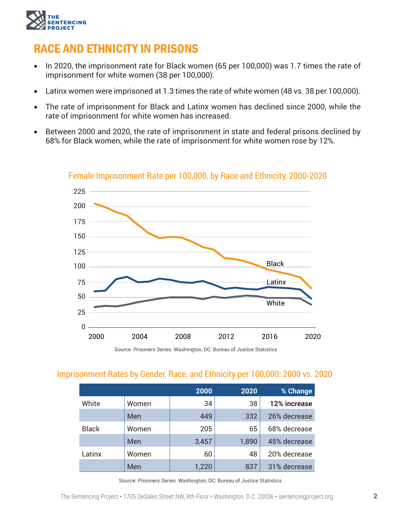

## RACE AND ETHNICITY IN PRISONS

- In 2020, the imprisonment rate for Black women (65 per 100,000) was 1.7 times the rate of imprisonment for white women (38 per 100,000).
- Latinx women were imprisoned at 1.3 times the rate of white women (48 vs. 38 per 100,000).
- The rate of imprisonment for Black and Latinx women has declined since 2000, while the rate of imprisonment for white women has increased.
- Between 2000 and 2020, the rate of imprisonment in state and federal prisons declined by 68% for Black women, while the rate of imprisonment for white women rose by 12%.



#### Female Imprisonment Rate per 100,000, by Race and Ethnicity, 2000-2020

Source: *Prisoners Series.* Washington, DC: Bureau of Justice Statistics

### Imprisonment Rates by Gender, Race, and Ethnicity per 100,000: 2000 vs. 2020

|              |       | 2000  | 2020  | % Change     |
|--------------|-------|-------|-------|--------------|
| White        | Women | 34    | 38    | 12% increase |
|              | Men   | 449   | 332   | 26% decrease |
| <b>Black</b> | Women | 205   | 65    | 68% decrease |
|              | Men   | 3,457 | 1,890 | 45% decrease |
| Latinx       | Women | 60    | 48    | 20% decrease |
|              | Men   | 1,220 | 837   | 31% decrease |

Source: *Prisoners Series.* Washington, DC: Bureau of Justice Statistics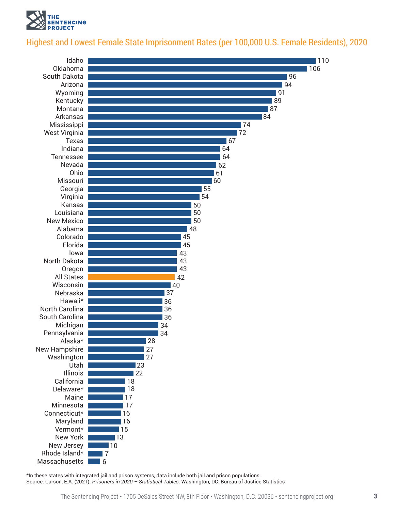

### Highest and Lowest Female State Imprisonment Rates (per 100,000 U.S. Female Residents), 2020



\*In these states with integrated jail and prison systems, data include both jail and prison populations. Source: Carson, E.A. (2021). *Prisoners in 2020 – Statistical Tables*. Washington, DC: Bureau of Justice Statistics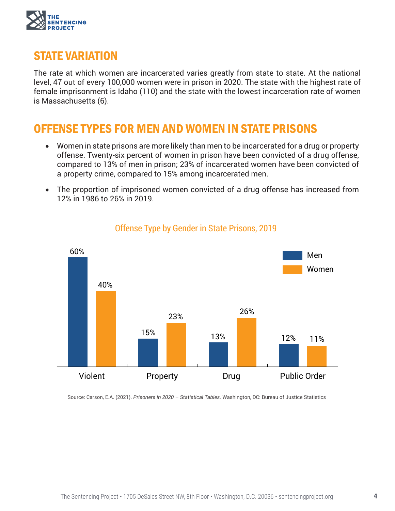

### STATE VARIATION

The rate at which women are incarcerated varies greatly from state to state. At the national level, 47 out of every 100,000 women were in prison in 2020. The state with the highest rate of female imprisonment is Idaho (110) and the state with the lowest incarceration rate of women is Massachusetts (6).

### OFFENSE TYPES FOR MEN AND WOMEN IN STATE PRISONS

- Women in state prisons are more likely than men to be incarcerated for a drug or property offense. Twenty-six percent of women in prison have been convicted of a drug offense, compared to 13% of men in prison; 23% of incarcerated women have been convicted of a property crime, compared to 15% among incarcerated men.
- The proportion of imprisoned women convicted of a drug offense has increased from 12% in 1986 to 26% in 2019.



### Offense Type by Gender in State Prisons, 2019

Source: Carson, E.A. (2021). *Prisoners in 2020 – Statistical Tables.* Washington, DC: Bureau of Justice Statistics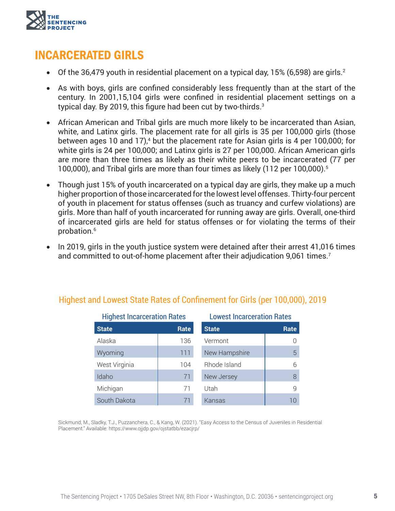

### INCARCERATED GIRLS

- Of the 36,479 youth in residential placement on a typical day,  $15\%$  (6,598) are girls.<sup>2</sup>
- As with boys, girls are confined considerably less frequently than at the start of the century. In 2001,15,104 girls were confined in residential placement settings on a typical day. By 2019, this figure had been cut by two-thirds.<sup>3</sup>
- African American and Tribal girls are much more likely to be incarcerated than Asian, white, and Latinx girls. The placement rate for all girls is 35 per 100,000 girls (those between ages 10 and 17),<sup>4</sup> but the placement rate for Asian girls is 4 per 100,000; for white girls is 24 per 100,000; and Latinx girls is 27 per 100,000. African American girls are more than three times as likely as their white peers to be incarcerated (77 per 100,000), and Tribal girls are more than four times as likely (112 per 100,000).5
- Though just 15% of youth incarcerated on a typical day are girls, they make up a much higher proportion of those incarcerated for the lowest level offenses. Thirty-four percent of youth in placement for status offenses (such as truancy and curfew violations) are girls. More than half of youth incarcerated for running away are girls. Overall, one-third of incarcerated girls are held for status offenses or for violating the terms of their probation.<sup>6</sup>
- In 2019, girls in the youth justice system were detained after their arrest 41,016 times and committed to out-of-home placement after their adjudication 9,061 times.<sup>7</sup>

| <b>Highest Incarceration Rates</b> |      | <b>Lowest Incarceration Rates</b> |      |  |
|------------------------------------|------|-----------------------------------|------|--|
| <b>State</b>                       | Rate | <b>State</b>                      | Rate |  |
| Alaska                             | 136  | Vermont                           |      |  |
| Wyoming                            | 111  | New Hampshire                     | 5    |  |
| West Virginia                      | 104  | Rhode Island                      | 6    |  |
| Idaho                              | 71   | New Jersey                        | 8    |  |
| Michigan                           | 71   | Utah                              | q    |  |
| South Dakota                       | 71   | Kansas                            | 10   |  |

### Highest and Lowest State Rates of Confinement for Girls (per 100,000), 2019

Sickmund, M., Sladky, T.J., Puzzanchera, C., & Kang, W. (2021). "Easy Access to the Census of Juveniles in Residential Placement." Available: https://www.ojjdp.gov/ojstatbb/ezacjrp/